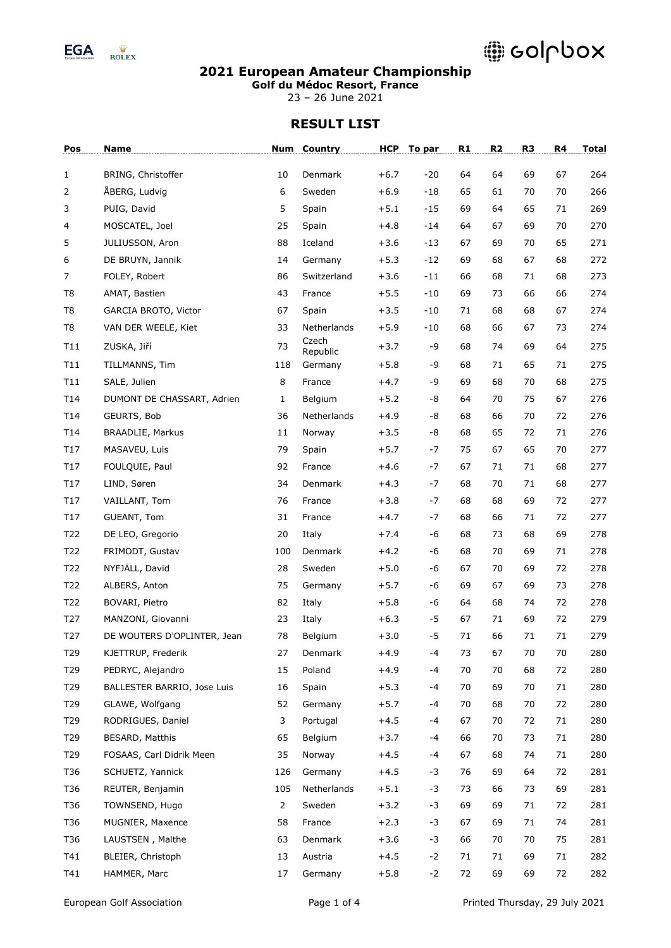

### **2021 European Amateur Championship**

**Golf du Médoc Resort, France**

23 – 26 June 2021

| Pos            | Name                        |              | Num Country       | <b>HCP</b> | To par | R1 | R <sub>2</sub> | R <sub>3</sub> | R4     | <b>Total</b> |
|----------------|-----------------------------|--------------|-------------------|------------|--------|----|----------------|----------------|--------|--------------|
| 1              | BRING, Christoffer          | 10           | Denmark           | $+6.7$     | $-20$  | 64 | 64             | 69             | 67     | 264          |
| 2              | ÅBERG, Ludvig               | 6            | Sweden            | $+6.9$     | $-18$  | 65 | 61             | 70             | 70     | 266          |
| 3              | PUIG, David                 | 5            | Spain             | $+5.1$     | $-15$  | 69 | 64             | 65             | 71     | 269          |
| 4              | MOSCATEL, Joel              | 25           | Spain             | $+4.8$     | $-14$  | 64 | 67             | 69             | 70     | 270          |
| 5              | JULIUSSON, Aron             | 88           | Iceland           | $+3.6$     | $-13$  | 67 | 69             | 70             | 65     | 271          |
| 6              | DE BRUYN, Jannik            | 14           | Germany           | $+5.3$     | $-12$  | 69 | 68             | 67             | 68     | 272          |
| 7              | FOLEY, Robert               | 86           | Switzerland       | $+3.6$     | $-11$  | 66 | 68             | 71             | 68     | 273          |
| T <sub>8</sub> | AMAT, Bastien               | 43           | France            | $+5.5$     | $-10$  | 69 | 73             | 66             | 66     | 274          |
| T8             | GARCIA BROTO, Victor        | 67           | Spain             | $+3.5$     | $-10$  | 71 | 68             | 68             | 67     | 274          |
| T <sub>8</sub> | VAN DER WEELE, Kiet         | 33           | Netherlands       | $+5.9$     | $-10$  | 68 | 66             | 67             | 73     | 274          |
| T11            | ZUSKA, Jiří                 | 73           | Czech<br>Republic | $+3.7$     | -9     | 68 | 74             | 69             | 64     | 275          |
| T11            | TILLMANNS, Tim              | 118          | Germany           | $+5.8$     | -9     | 68 | 71             | 65             | 71     | 275          |
| T11            | SALE, Julien                | 8            | France            | $+4.7$     | -9     | 69 | 68             | 70             | 68     | 275          |
| T14            | DUMONT DE CHASSART, Adrien  | $\mathbf{1}$ | Belgium           | $+5.2$     | -8     | 64 | 70             | 75             | 67     | 276          |
| T14            | GEURTS, Bob                 | 36           | Netherlands       | $+4.9$     | -8     | 68 | 66             | 70             | 72     | 276          |
| T14            | <b>BRAADLIE, Markus</b>     | 11           | Norway            | $+3.5$     | -8     | 68 | 65             | 72             | 71     | 276          |
| T17            | MASAVEU, Luis               | 79           | Spain             | $+5.7$     | -7     | 75 | 67             | 65             | 70     | 277          |
| T17            | FOULQUIE, Paul              | 92           | France            | $+4.6$     | $-7$   | 67 | 71             | 71             | 68     | 277          |
| T17            | LIND, Søren                 | 34           | Denmark           | $+4.3$     | -7     | 68 | 70             | 71             | 68     | 277          |
| T17            | VAILLANT, Tom               | 76           | France            | $+3.8$     | -7     | 68 | 68             | 69             | 72     | 277          |
| T17            | GUEANT, Tom                 | 31           | France            | $+4.7$     | -7     | 68 | 66             | 71             | 72     | 277          |
| T22            | DE LEO, Gregorio            | 20           | Italy             | $+7.4$     | -6     | 68 | 73             | 68             | 69     | 278          |
| T22            | FRIMODT, Gustav             | 100          | Denmark           | $+4.2$     | -6     | 68 | 70             | 69             | 71     | 278          |
| T22            | NYFJÄLL, David              | 28           | Sweden            | $+5.0$     | -6     | 67 | 70             | 69             | 72     | 278          |
| T22            | ALBERS, Anton               | 75           | Germany           | $+5.7$     | -6     | 69 | 67             | 69             | 73     | 278          |
| T22            | BOVARI, Pietro              | 82           | Italy             | $+5.8$     | -6     | 64 | 68             | 74             | 72     | 278          |
| T27            | MANZONI, Giovanni           | 23           | Italy             | $+6.3$     | -5     | 67 | 71             | 69             | 72     | 279          |
| T27            | DE WOUTERS D'OPLINTER, Jean | 78           | Belgium           | $+3.0$     | -5     | 71 | 66             | 71             | 71     | 279          |
| T29            | KJETTRUP, Frederik          | 27           | Denmark           | $+4.9$     | -4     | 73 | 67             | 70             | $70\,$ | 280          |
| T29            | PEDRYC, Alejandro           | 15           | Poland            | $+4.9$     | -4     | 70 | 70             | 68             | 72     | 280          |
| T29            | BALLESTER BARRIO, Jose Luis | 16           | Spain             | $+5.3$     | -4     | 70 | 69             | 70             | 71     | 280          |
| T29            | GLAWE, Wolfgang             | 52           | Germany           | $+5.7$     | -4     | 70 | 68             | 70             | 72     | 280          |
| T29            | RODRIGUES, Daniel           | 3            | Portugal          | $+4.5$     | $-4$   | 67 | 70             | 72             | $71\,$ | 280          |
| T29            | BESARD, Matthis             | 65           | Belgium           | $+3.7$     | -4     | 66 | 70             | 73             | 71     | 280          |
| T29            | FOSAAS, Carl Didrik Meen    | 35           | Norway            | $+4.5$     | -4     | 67 | 68             | 74             | 71     | 280          |
| T36            | SCHUETZ, Yannick            | 126          | Germany           | $+4.5$     | $-3$   | 76 | 69             | 64             | 72     | 281          |
| T36            | REUTER, Benjamin            | 105          | Netherlands       | $+5.1$     | $-3$   | 73 | 66             | 73             | 69     | 281          |
| T36            | TOWNSEND, Hugo              | 2            | Sweden            | $+3.2$     | -3     | 69 | 69             | 71             | 72     | 281          |
| T36            | MUGNIER, Maxence            | 58           | France            | $+2.3$     | $-3$   | 67 | 69             | 71             | 74     | 281          |
| T36            | LAUSTSEN, Malthe            | 63           | Denmark           | $+3.6$     | $-3$   | 66 | 70             | 70             | 75     | 281          |
| T41            | BLEIER, Christoph           | 13           | Austria           | $+4.5$     | $-2$   | 71 | 71             | 69             | 71     | 282          |
| T41            | HAMMER, Marc                | 17           | Germany           | $+5.8$     | $-2$   | 72 | 69             | 69             | 72     | 282          |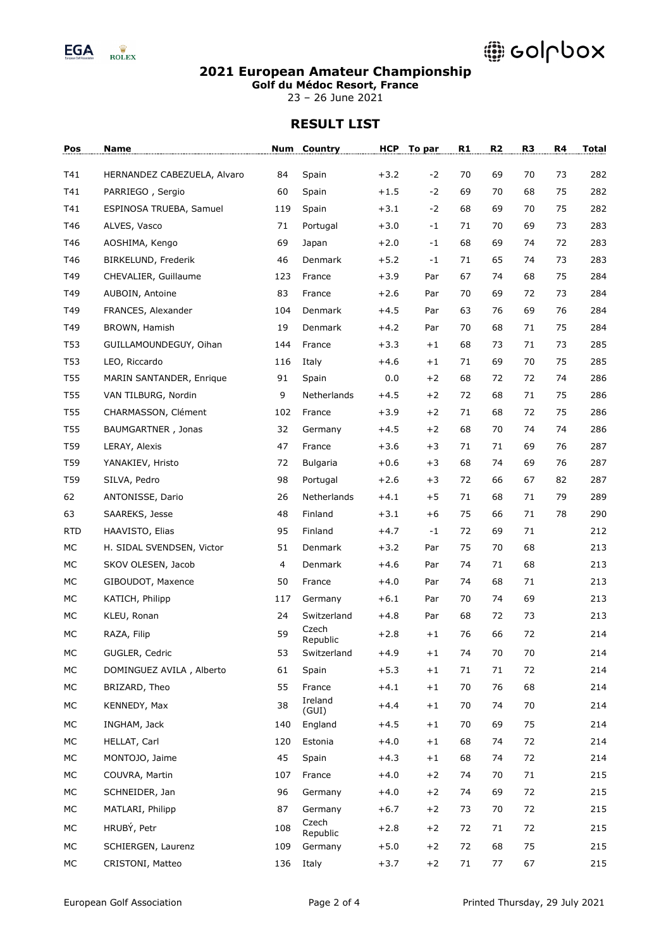

### **2021 European Amateur Championship**

**Golf du Médoc Resort, France**

23 – 26 June 2021

| Pos        | Name                        | Num | Country           | <b>HCP</b> | To par | R1 | R <sub>2</sub> | R <sub>3</sub> | R4 | <b>Total</b> |
|------------|-----------------------------|-----|-------------------|------------|--------|----|----------------|----------------|----|--------------|
| T41        | HERNANDEZ CABEZUELA, Alvaro | 84  | Spain             | $+3.2$     | $-2$   | 70 | 69             | 70             | 73 | 282          |
| T41        | PARRIEGO, Sergio            | 60  | Spain             | $+1.5$     | $-2$   | 69 | 70             | 68             | 75 | 282          |
| T41        | ESPINOSA TRUEBA, Samuel     | 119 | Spain             | $+3.1$     | $-2$   | 68 | 69             | 70             | 75 | 282          |
| T46        | ALVES, Vasco                | 71  | Portugal          | $+3.0$     | $-1$   | 71 | 70             | 69             | 73 | 283          |
| T46        | AOSHIMA, Kengo              | 69  | Japan             | $+2.0$     | $-1$   | 68 | 69             | 74             | 72 | 283          |
| T46        | BIRKELUND, Frederik         | 46  | Denmark           | $+5.2$     | $-1$   | 71 | 65             | 74             | 73 | 283          |
| T49        | CHEVALIER, Guillaume        | 123 | France            | $+3.9$     | Par    | 67 | 74             | 68             | 75 | 284          |
| T49        | AUBOIN, Antoine             | 83  | France            | $+2.6$     | Par    | 70 | 69             | 72             | 73 | 284          |
| T49        | FRANCES, Alexander          | 104 | Denmark           | $+4.5$     | Par    | 63 | 76             | 69             | 76 | 284          |
| T49        | BROWN, Hamish               | 19  | Denmark           | $+4.2$     | Par    | 70 | 68             | 71             | 75 | 284          |
| T53        | GUILLAMOUNDEGUY, Oihan      | 144 | France            | $+3.3$     | $+1$   | 68 | 73             | 71             | 73 | 285          |
| T53        | LEO, Riccardo               | 116 | Italy             | +4.6       | $+1$   | 71 | 69             | 70             | 75 | 285          |
| T55        | MARIN SANTANDER, Enrique    | 91  | Spain             | 0.0        | $+2$   | 68 | 72             | 72             | 74 | 286          |
| <b>T55</b> | VAN TILBURG, Nordin         | 9   | Netherlands       | $+4.5$     | $+2$   | 72 | 68             | 71             | 75 | 286          |
| T55        | CHARMASSON, Clément         | 102 | France            | $+3.9$     | $+2$   | 71 | 68             | 72             | 75 | 286          |
| T55        | BAUMGARTNER, Jonas          | 32  | Germany           | $+4.5$     | $+2$   | 68 | 70             | 74             | 74 | 286          |
| T59        | LERAY, Alexis               | 47  | France            | $+3.6$     | $+3$   | 71 | 71             | 69             | 76 | 287          |
| T59        | YANAKIEV, Hristo            | 72  | <b>Bulgaria</b>   | $+0.6$     | $+3$   | 68 | 74             | 69             | 76 | 287          |
| T59        | SILVA, Pedro                | 98  | Portugal          | $+2.6$     | $+3$   | 72 | 66             | 67             | 82 | 287          |
| 62         | ANTONISSE, Dario            | 26  | Netherlands       | $+4.1$     | $+5$   | 71 | 68             | 71             | 79 | 289          |
| 63         | SAAREKS, Jesse              | 48  | Finland           | $+3.1$     | $+6$   | 75 | 66             | 71             | 78 | 290          |
| <b>RTD</b> | HAAVISTO, Elias             | 95  | Finland           | $+4.7$     | $-1$   | 72 | 69             | 71             |    | 212          |
| MC         | H. SIDAL SVENDSEN, Victor   | 51  | Denmark           | $+3.2$     | Par    | 75 | 70             | 68             |    | 213          |
| MC         | SKOV OLESEN, Jacob          | 4   | Denmark           | $+4.6$     | Par    | 74 | 71             | 68             |    | 213          |
| МC         | GIBOUDOT, Maxence           | 50  | France            | $+4.0$     | Par    | 74 | 68             | 71             |    | 213          |
| MC         | KATICH, Philipp             | 117 | Germany           | $+6.1$     | Par    | 70 | 74             | 69             |    | 213          |
| MC         | KLEU, Ronan                 | 24  | Switzerland       | $+4.8$     | Par    | 68 | 72             | 73             |    | 213          |
| MC         | RAZA, Filip                 | 59  | Czech<br>Republic | $+2.8$     | $+1$   | 76 | 66             | 72             |    | 214          |
| МC         | GUGLER, Cedric              | 53  | Switzerland       | $+4.9$     | $+1$   | 74 | 70             | 70             |    | 214          |
| МC         | DOMINGUEZ AVILA, Alberto    | 61  | Spain             | $+5.3$     | $+1$   | 71 | 71             | 72             |    | 214          |
| МC         | BRIZARD, Theo               | 55  | France            | $+4.1$     | $+1$   | 70 | 76             | 68             |    | 214          |
| MC         | KENNEDY, Max                | 38  | Ireland<br>(GUI)  | $+4.4$     | $+1$   | 70 | 74             | 70             |    | 214          |
| МC         | INGHAM, Jack                | 140 | England           | $+4.5$     | $+1$   | 70 | 69             | 75             |    | 214          |
| МC         | HELLAT, Carl                | 120 | Estonia           | $+4.0$     | $+1$   | 68 | 74             | 72             |    | 214          |
| МC         | MONTOJO, Jaime              | 45  | Spain             | $+4.3$     | $+1$   | 68 | 74             | 72             |    | 214          |
| МC         | COUVRA, Martin              | 107 | France            | $+4.0$     | $+2$   | 74 | 70             | 71             |    | 215          |
| МC         | SCHNEIDER, Jan              | 96  | Germany           | $+4.0$     | $+2$   | 74 | 69             | 72             |    | 215          |
| МC         | MATLARI, Philipp            | 87  | Germany           | $+6.7$     | $+2$   | 73 | 70             | 72             |    | 215          |
| МC         | HRUBÝ, Petr                 | 108 | Czech<br>Republic | $+2.8$     | $+2$   | 72 | 71             | 72             |    | 215          |
| МC         | SCHIERGEN, Laurenz          | 109 | Germany           | $+5.0$     | $+2$   | 72 | 68             | 75             |    | 215          |
| МC         | CRISTONI, Matteo            | 136 | Italy             | $+3.7$     | $+2$   | 71 | 77             | 67             |    | 215          |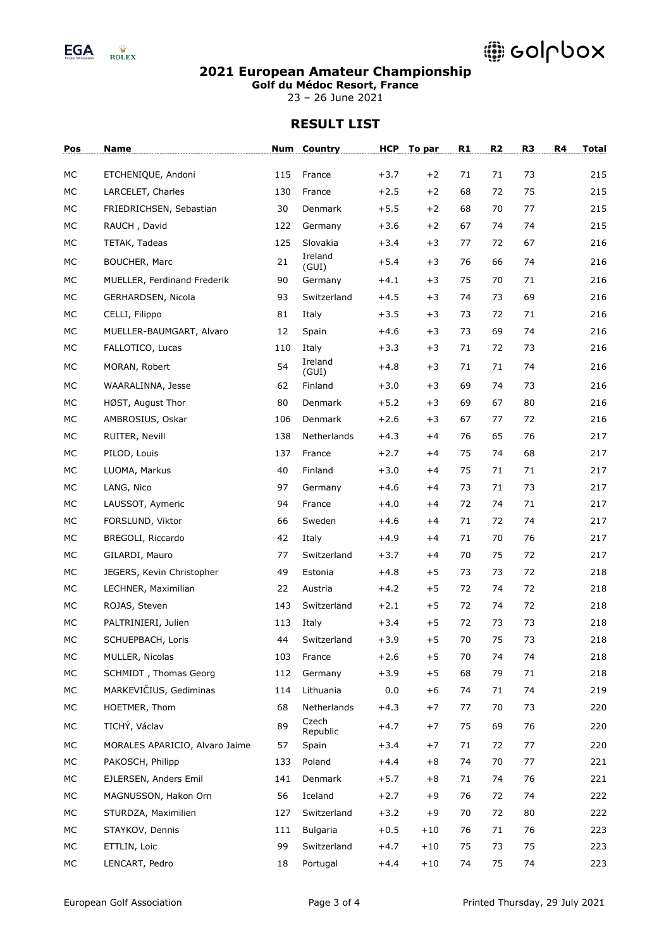

### **2021 European Amateur Championship**

**Golf du Médoc Resort, France**

23 – 26 June 2021

| Pos | Name                           | Num | <b>Country</b>    | <b>HCP</b> | To par | R1 | R <sub>2</sub> | R <sub>3</sub> | R4 | <b>Total</b> |
|-----|--------------------------------|-----|-------------------|------------|--------|----|----------------|----------------|----|--------------|
| МC  | ETCHENIQUE, Andoni             | 115 | France            | $+3.7$     | $+2$   | 71 | 71             | 73             |    | 215          |
| МC  | LARCELET, Charles              | 130 | France            | $+2.5$     | $+2$   | 68 | 72             | 75             |    | 215          |
| MC  | FRIEDRICHSEN, Sebastian        | 30  | Denmark           | $+5.5$     | $+2$   | 68 | 70             | 77             |    | 215          |
| MC  | RAUCH, David                   | 122 | Germany           | $+3.6$     | $+2$   | 67 | 74             | 74             |    | 215          |
| MC  | TETAK, Tadeas                  | 125 | Slovakia          | $+3.4$     | $+3$   | 77 | 72             | 67             |    | 216          |
| MC  | BOUCHER, Marc                  | 21  | Ireland           | $+5.4$     | $+3$   | 76 | 66             | 74             |    | 216          |
| MC  | MUELLER, Ferdinand Frederik    | 90  | (GUI)<br>Germany  | $+4.1$     | $+3$   | 75 | 70             | 71             |    | 216          |
| MC  | GERHARDSEN, Nicola             | 93  | Switzerland       | $+4.5$     | $+3$   | 74 | 73             | 69             |    | 216          |
| MC  | CELLI, Filippo                 | 81  | Italy             | $+3.5$     | $+3$   | 73 | 72             | 71             |    | 216          |
| MC  | MUELLER-BAUMGART, Alvaro       | 12  | Spain             | $+4.6$     | $+3$   | 73 | 69             | 74             |    | 216          |
| МC  | FALLOTICO, Lucas               | 110 | Italy             | $+3.3$     | $+3$   | 71 | 72             | 73             |    | 216          |
| МC  | MORAN, Robert                  | 54  | Ireland           | $+4.8$     | $+3$   | 71 | 71             | 74             |    | 216          |
| MC  | WAARALINNA, Jesse              | 62  | (GUI)<br>Finland  | $+3.0$     | $+3$   | 69 | 74             | 73             |    | 216          |
| MC  | HØST, August Thor              | 80  | <b>Denmark</b>    | $+5.2$     | $+3$   | 69 | 67             | 80             |    | 216          |
| MC  | AMBROSIUS, Oskar               | 106 | Denmark           | $+2.6$     | $+3$   | 67 | 77             | 72             |    | 216          |
| МC  | RUITER, Nevill                 | 138 | Netherlands       | $+4.3$     | $+4$   | 76 | 65             | 76             |    | 217          |
| MC  | PILOD, Louis                   | 137 | France            | $+2.7$     | $+4$   | 75 | 74             | 68             |    | 217          |
| MC  | LUOMA, Markus                  | 40  | Finland           | $+3.0$     | $+4$   | 75 | 71             | 71             |    | 217          |
| МC  | LANG, Nico                     | 97  | Germany           | +4.6       | $+4$   | 73 | 71             | 73             |    | 217          |
| MC  | LAUSSOT, Aymeric               | 94  | France            | $+4.0$     | $+4$   | 72 | 74             | 71             |    | 217          |
| MC  | FORSLUND, Viktor               | 66  | Sweden            | $+4.6$     | $+4$   | 71 | 72             | 74             |    | 217          |
| MC  | BREGOLI, Riccardo              | 42  | Italy             | $+4.9$     | $+4$   | 71 | 70             | 76             |    | 217          |
| MC  | GILARDI, Mauro                 | 77  | Switzerland       | $+3.7$     | $+4$   | 70 | 75             | 72             |    | 217          |
| MC  | JEGERS, Kevin Christopher      | 49  | Estonia           | $+4.8$     | $+5$   | 73 | 73             | 72             |    | 218          |
| MC  | LECHNER, Maximilian            | 22  | Austria           | $+4.2$     | $+5$   | 72 | 74             | 72             |    | 218          |
| MC  | ROJAS, Steven                  | 143 | Switzerland       | $+2.1$     | $+5$   | 72 | 74             | 72             |    | 218          |
| МC  | PALTRINIERI, Julien            | 113 | Italy             | $+3.4$     | $+5$   | 72 | 73             | 73             |    | 218          |
| MC  | SCHUEPBACH, Loris              | 44  | Switzerland       | $+3.9$     | $+5$   | 70 | 75             | 73             |    | 218          |
| МC  | MULLER, Nicolas                | 103 | France            | $+2.6$     | $+5$   | 70 | 74             | 74             |    | 218          |
| MC  | SCHMIDT, Thomas Georg          | 112 | Germany           | $+3.9$     | $+5$   | 68 | 79             | 71             |    | 218          |
| МC  | MARKEVIČIUS, Gediminas         | 114 | Lithuania         | 0.0        | $+6$   | 74 | 71             | 74             |    | 219          |
| МC  | HOETMER, Thom                  | 68  | Netherlands       | +4.3       | $+7$   | 77 | 70             | 73             |    | 220          |
| МC  | TICHÝ, Václav                  | 89  | Czech<br>Republic | $+4.7$     | $+7$   | 75 | 69             | 76             |    | 220          |
| МC  | MORALES APARICIO, Alvaro Jaime | 57  | Spain             | $+3.4$     | $+7$   | 71 | 72             | 77             |    | 220          |
| МC  | PAKOSCH, Philipp               | 133 | Poland            | $+4.4$     | $+8$   | 74 | 70             | 77             |    | 221          |
| МC  | EJLERSEN, Anders Emil          | 141 | Denmark           | $+5.7$     | $+8$   | 71 | 74             | 76             |    | 221          |
| МC  | MAGNUSSON, Hakon Orn           | 56  | Iceland           | $+2.7$     | $+9$   | 76 | 72             | 74             |    | 222          |
| МC  | STURDZA, Maximilien            | 127 | Switzerland       | $+3.2$     | $+9$   | 70 | 72             | 80             |    | 222          |
| МC  | STAYKOV, Dennis                | 111 | Bulgaria          | $+0.5$     | $+10$  | 76 | 71             | 76             |    | 223          |
| МC  | ETTLIN, Loic                   | 99  | Switzerland       | $+4.7$     | $+10$  | 75 | 73             | 75             |    | 223          |
| МC  | LENCART, Pedro                 | 18  | Portugal          | $+4.4$     | $+10$  | 74 | 75             | 74             |    | 223          |